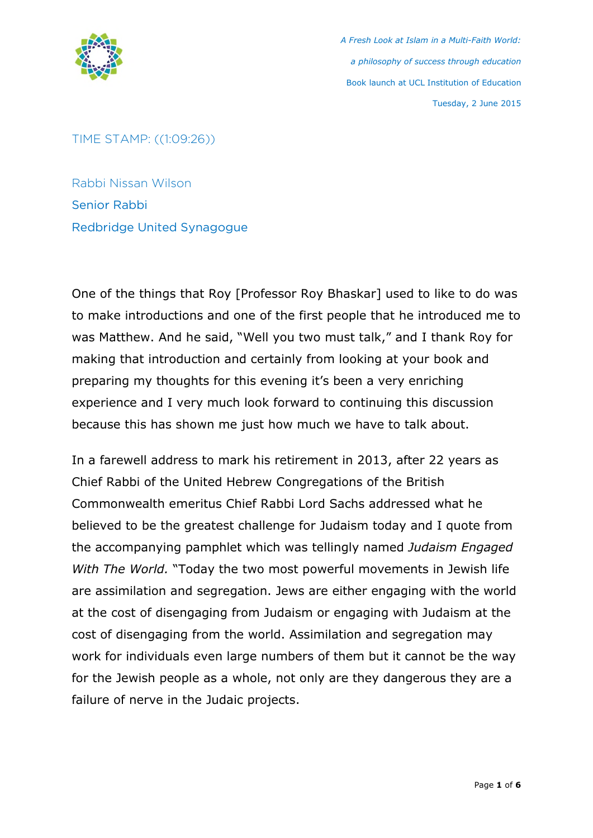

TIME STAMP: ((1:09:26))

Rabbi Nissan Wilson Senior Rabbi Redbridge United Synagogue

One of the things that Roy [Professor Roy Bhaskar] used to like to do was to make introductions and one of the first people that he introduced me to was Matthew. And he said, "Well you two must talk," and I thank Roy for making that introduction and certainly from looking at your book and preparing my thoughts for this evening it's been a very enriching experience and I very much look forward to continuing this discussion because this has shown me just how much we have to talk about.

In a farewell address to mark his retirement in 2013, after 22 years as Chief Rabbi of the United Hebrew Congregations of the British Commonwealth emeritus Chief Rabbi Lord Sachs addressed what he believed to be the greatest challenge for Judaism today and I quote from the accompanying pamphlet which was tellingly named *Judaism Engaged With The World.* "Today the two most powerful movements in Jewish life are assimilation and segregation. Jews are either engaging with the world at the cost of disengaging from Judaism or engaging with Judaism at the cost of disengaging from the world. Assimilation and segregation may work for individuals even large numbers of them but it cannot be the way for the Jewish people as a whole, not only are they dangerous they are a failure of nerve in the Judaic projects.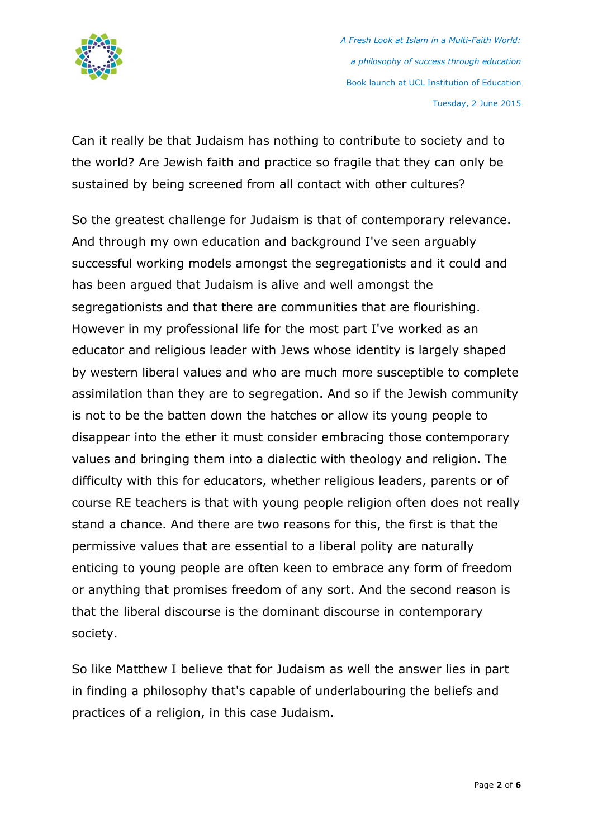

Can it really be that Judaism has nothing to contribute to society and to the world? Are Jewish faith and practice so fragile that they can only be sustained by being screened from all contact with other cultures?

So the greatest challenge for Judaism is that of contemporary relevance. And through my own education and background I've seen arguably successful working models amongst the segregationists and it could and has been argued that Judaism is alive and well amongst the segregationists and that there are communities that are flourishing. However in my professional life for the most part I've worked as an educator and religious leader with Jews whose identity is largely shaped by western liberal values and who are much more susceptible to complete assimilation than they are to segregation. And so if the Jewish community is not to be the batten down the hatches or allow its young people to disappear into the ether it must consider embracing those contemporary values and bringing them into a dialectic with theology and religion. The difficulty with this for educators, whether religious leaders, parents or of course RE teachers is that with young people religion often does not really stand a chance. And there are two reasons for this, the first is that the permissive values that are essential to a liberal polity are naturally enticing to young people are often keen to embrace any form of freedom or anything that promises freedom of any sort. And the second reason is that the liberal discourse is the dominant discourse in contemporary society.

So like Matthew I believe that for Judaism as well the answer lies in part in finding a philosophy that's capable of underlabouring the beliefs and practices of a religion, in this case Judaism.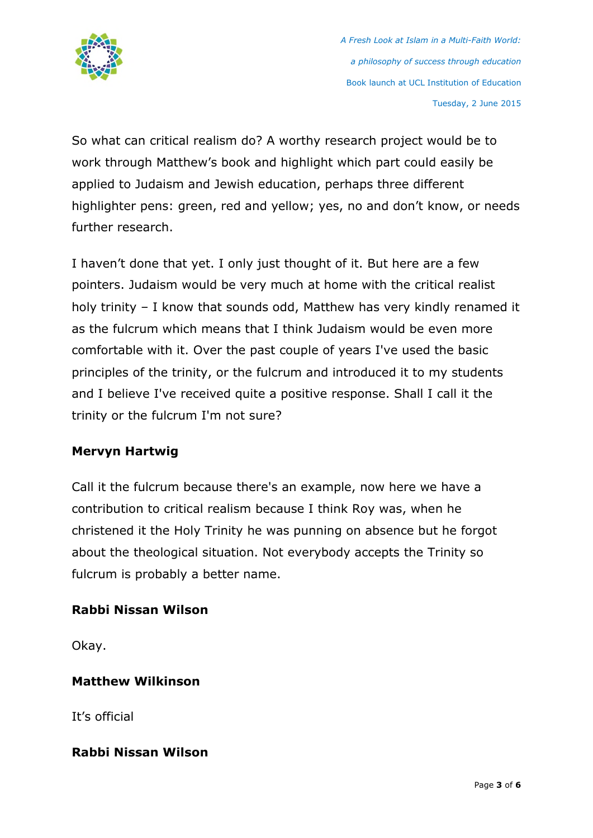

So what can critical realism do? A worthy research project would be to work through Matthew's book and highlight which part could easily be applied to Judaism and Jewish education, perhaps three different highlighter pens: green, red and yellow; yes, no and don't know, or needs further research.

I haven't done that yet. I only just thought of it. But here are a few pointers. Judaism would be very much at home with the critical realist holy trinity – I know that sounds odd, Matthew has very kindly renamed it as the fulcrum which means that I think Judaism would be even more comfortable with it. Over the past couple of years I've used the basic principles of the trinity, or the fulcrum and introduced it to my students and I believe I've received quite a positive response. Shall I call it the trinity or the fulcrum I'm not sure?

## **Mervyn Hartwig**

Call it the fulcrum because there's an example, now here we have a contribution to critical realism because I think Roy was, when he christened it the Holy Trinity he was punning on absence but he forgot about the theological situation. Not everybody accepts the Trinity so fulcrum is probably a better name.

## **Rabbi Nissan Wilson**

Okay.

## **Matthew Wilkinson**

It's official

## **Rabbi Nissan Wilson**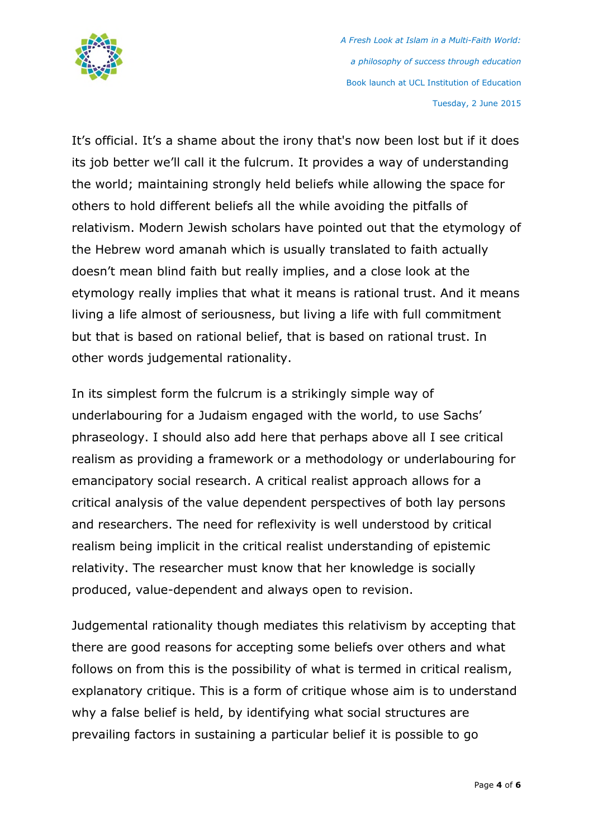

It's official. It's a shame about the irony that's now been lost but if it does its job better we'll call it the fulcrum. It provides a way of understanding the world; maintaining strongly held beliefs while allowing the space for others to hold different beliefs all the while avoiding the pitfalls of relativism. Modern Jewish scholars have pointed out that the etymology of the Hebrew word amanah which is usually translated to faith actually doesn't mean blind faith but really implies, and a close look at the etymology really implies that what it means is rational trust. And it means living a life almost of seriousness, but living a life with full commitment but that is based on rational belief, that is based on rational trust. In other words judgemental rationality.

In its simplest form the fulcrum is a strikingly simple way of underlabouring for a Judaism engaged with the world, to use Sachs' phraseology. I should also add here that perhaps above all I see critical realism as providing a framework or a methodology or underlabouring for emancipatory social research. A critical realist approach allows for a critical analysis of the value dependent perspectives of both lay persons and researchers. The need for reflexivity is well understood by critical realism being implicit in the critical realist understanding of epistemic relativity. The researcher must know that her knowledge is socially produced, value-dependent and always open to revision.

Judgemental rationality though mediates this relativism by accepting that there are good reasons for accepting some beliefs over others and what follows on from this is the possibility of what is termed in critical realism, explanatory critique. This is a form of critique whose aim is to understand why a false belief is held, by identifying what social structures are prevailing factors in sustaining a particular belief it is possible to go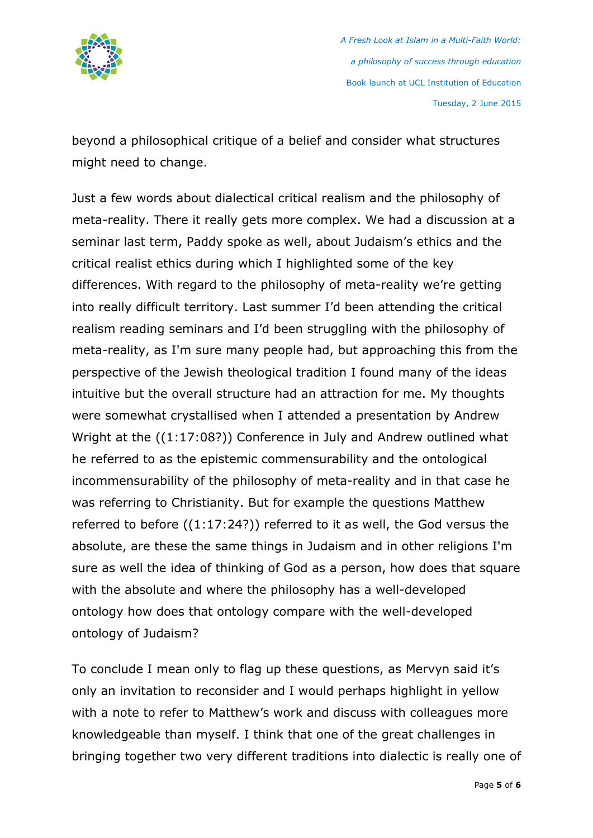

beyond a philosophical critique of a belief and consider what structures might need to change.

Just a few words about dialectical critical realism and the philosophy of meta-reality. There it really gets more complex. We had a discussion at a seminar last term, Paddy spoke as well, about Judaism's ethics and the critical realist ethics during which I highlighted some of the key differences. With regard to the philosophy of meta-reality we're getting into really difficult territory. Last summer I'd been attending the critical realism reading seminars and I'd been struggling with the philosophy of meta-reality, as I'm sure many people had, but approaching this from the perspective of the Jewish theological tradition I found many of the ideas intuitive but the overall structure had an attraction for me. My thoughts were somewhat crystallised when I attended a presentation by Andrew Wright at the ((1:17:08?)) Conference in July and Andrew outlined what he referred to as the epistemic commensurability and the ontological incommensurability of the philosophy of meta-reality and in that case he was referring to Christianity. But for example the questions Matthew referred to before ((1:17:24?)) referred to it as well, the God versus the absolute, are these the same things in Judaism and in other religions I'm sure as well the idea of thinking of God as a person, how does that square with the absolute and where the philosophy has a well-developed ontology how does that ontology compare with the well-developed ontology of Judaism?

To conclude I mean only to flag up these questions, as Mervyn said it's only an invitation to reconsider and I would perhaps highlight in yellow with a note to refer to Matthew's work and discuss with colleagues more knowledgeable than myself. I think that one of the great challenges in bringing together two very different traditions into dialectic is really one of